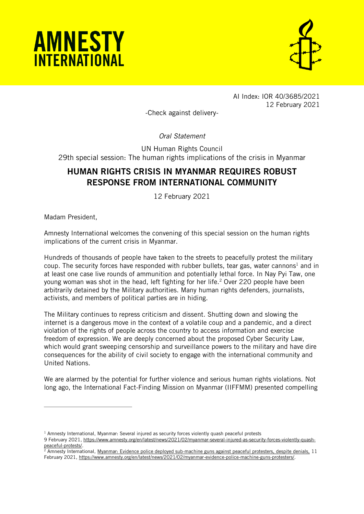



AI Index: IOR 40/3685/2021 12 February 2021

-Check against delivery-

*Oral Statement*

UN Human Rights Council 29th special session: The human rights implications of the crisis in Myanmar

## HUMAN RIGHTS CRISIS IN MYANMAR REQUIRES ROBUST RESPONSE FROM INTERNATIONAL COMMUNITY

12 February 2021

Madam President,

 $\overline{a}$ 

Amnesty International welcomes the convening of this special session on the human rights implications of the current crisis in Myanmar.

Hundreds of thousands of people have taken to the streets to peacefully protest the military coup. The security forces have responded with rubber bullets, tear gas, water cannons<sup>1</sup> and in at least one case live rounds of ammunition and potentially lethal force. In Nay Pyi Taw, one young woman was shot in the head, left fighting for her life. <sup>2</sup> Over 220 people have been arbitrarily detained by the Military authorities. Many human rights defenders, journalists, activists, and members of political parties are in hiding.

The Military continues to repress criticism and dissent. Shutting down and slowing the internet is a dangerous move in the context of a volatile coup and a pandemic, and a direct violation of the rights of people across the country to access information and exercise freedom of expression. We are deeply concerned about the proposed Cyber Security Law, which would grant sweeping censorship and surveillance powers to the military and have dire consequences for the ability of civil society to engage with the international community and United Nations.

We are alarmed by the potential for further violence and serious human rights violations. Not long ago, the International Fact-Finding Mission on Myanmar (IIFFMM) presented compelling

 $<sup>1</sup>$  Amnesty International, Myanmar: Several injured as security forces violently quash peaceful protests</sup>

<sup>9</sup> February 2021[, https://www.amnesty.org/en/latest/news/2021/02/myanmar-several-injured-as-security-forces-violently-quash](https://www.amnesty.org/en/latest/news/2021/02/myanmar-several-injured-as-security-forces-violently-quash-peaceful-protests/)[peaceful-protests/.](https://www.amnesty.org/en/latest/news/2021/02/myanmar-several-injured-as-security-forces-violently-quash-peaceful-protests/)

<sup>&</sup>lt;sup>2</sup> Amnesty International, <u>Myanmar: Evidence police deployed sub-machine guns against peaceful protesters, despite denials, 11</u> February 2021, [https://www.amnesty.org/en/latest/news/2021/02/myanmar-evidence-police-machine-guns-protesters/.](https://www.amnesty.org/en/latest/news/2021/02/myanmar-evidence-police-machine-guns-protesters/)